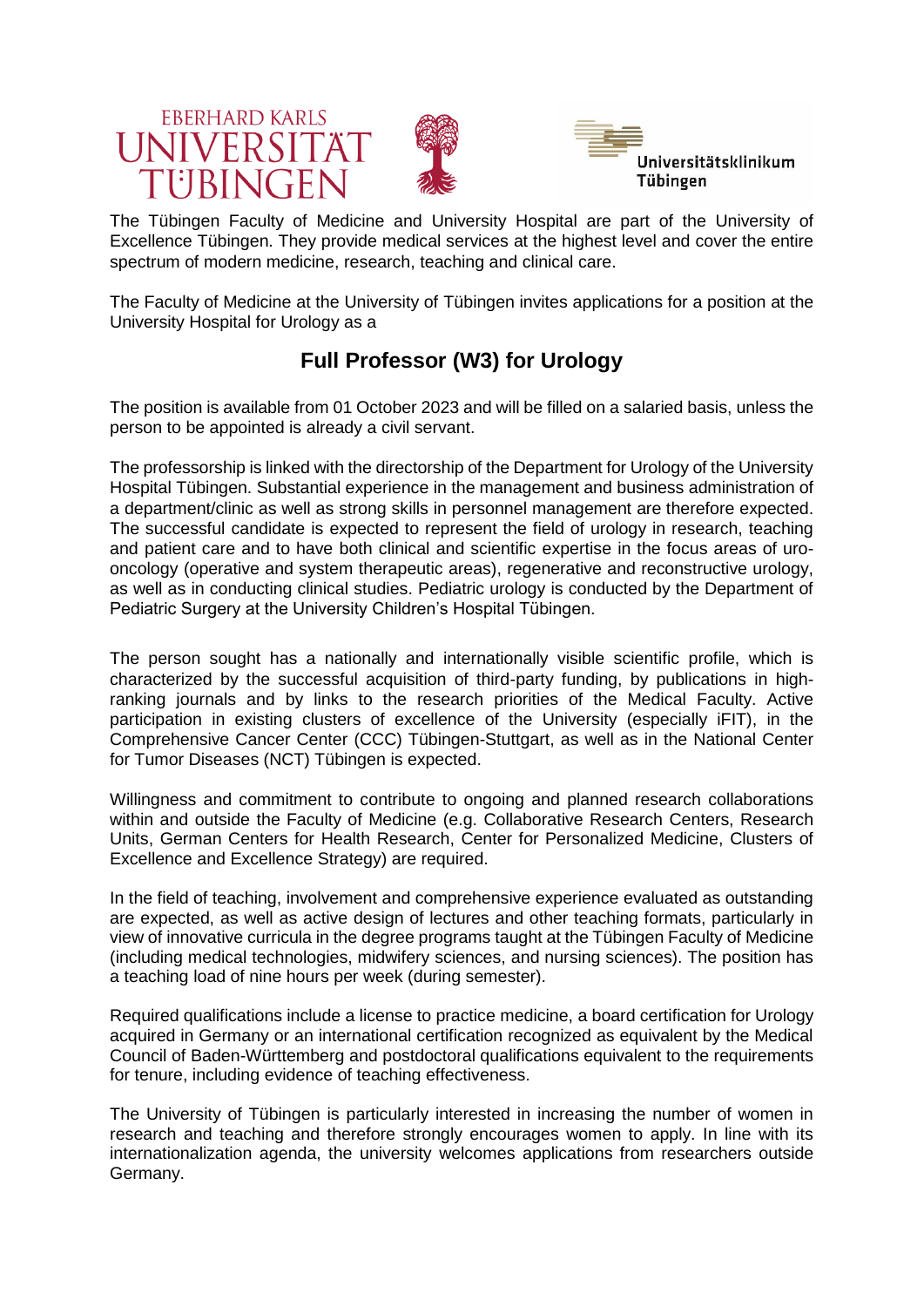





The Tübingen Faculty of Medicine and University Hospital are part of the University of Excellence Tübingen. They provide medical services at the highest level and cover the entire spectrum of modern medicine, research, teaching and clinical care.

The Faculty of Medicine at the University of Tübingen invites applications for a position at the University Hospital for Urology as a

## **Full Professor (W3) for Urology**

The position is available from 01 October 2023 and will be filled on a salaried basis, unless the person to be appointed is already a civil servant.

The professorship is linked with the directorship of the Department for Urology of the University Hospital Tübingen. Substantial experience in the management and business administration of a department/clinic as well as strong skills in personnel management are therefore expected. The successful candidate is expected to represent the field of urology in research, teaching and patient care and to have both clinical and scientific expertise in the focus areas of urooncology (operative and system therapeutic areas), regenerative and reconstructive urology, as well as in conducting clinical studies. Pediatric urology is conducted by the Department of Pediatric Surgery at the University Children's Hospital Tübingen.

The person sought has a nationally and internationally visible scientific profile, which is characterized by the successful acquisition of third-party funding, by publications in highranking journals and by links to the research priorities of the Medical Faculty. Active participation in existing clusters of excellence of the University (especially iFIT), in the Comprehensive Cancer Center (CCC) Tübingen-Stuttgart, as well as in the National Center for Tumor Diseases (NCT) Tübingen is expected.

Willingness and commitment to contribute to ongoing and planned research collaborations within and outside the Faculty of Medicine (e.g. Collaborative Research Centers, Research Units, German Centers for Health Research, Center for Personalized Medicine, Clusters of Excellence and Excellence Strategy) are required.

In the field of teaching, involvement and comprehensive experience evaluated as outstanding are expected, as well as active design of lectures and other teaching formats, particularly in view of innovative curricula in the degree programs taught at the Tübingen Faculty of Medicine (including medical technologies, midwifery sciences, and nursing sciences). The position has a teaching load of nine hours per week (during semester).

Required qualifications include a license to practice medicine, a board certification for Urology acquired in Germany or an international certification recognized as equivalent by the Medical Council of Baden-Württemberg and postdoctoral qualifications equivalent to the requirements for tenure, including evidence of teaching effectiveness.

The University of Tübingen is particularly interested in increasing the number of women in research and teaching and therefore strongly encourages women to apply. In line with its internationalization agenda, the university welcomes applications from researchers outside Germany.